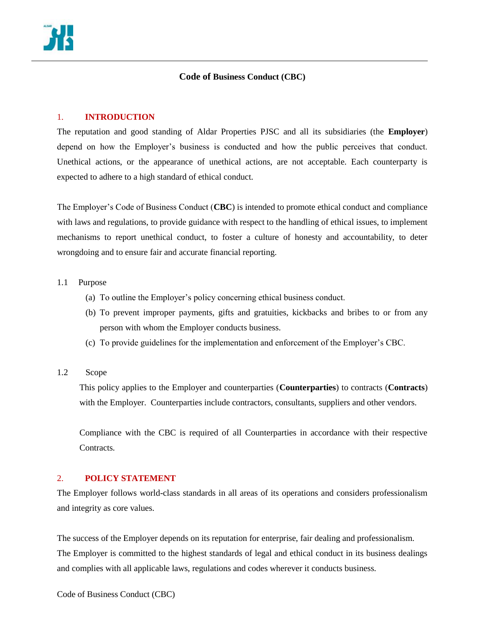# **Code of Business Conduct (CBC)**

### 1. **INTRODUCTION**

The reputation and good standing of Aldar Properties PJSC and all its subsidiaries (the **Employer**) depend on how the Employer's business is conducted and how the public perceives that conduct. Unethical actions, or the appearance of unethical actions, are not acceptable. Each counterparty is expected to adhere to a high standard of ethical conduct.

The Employer's Code of Business Conduct (**CBC**) is intended to promote ethical conduct and compliance with laws and regulations, to provide guidance with respect to the handling of ethical issues, to implement mechanisms to report unethical conduct, to foster a culture of honesty and accountability, to deter wrongdoing and to ensure fair and accurate financial reporting.

### 1.1 Purpose

- (a) To outline the Employer's policy concerning ethical business conduct.
- (b) To prevent improper payments, gifts and gratuities, kickbacks and bribes to or from any person with whom the Employer conducts business.
- (c) To provide guidelines for the implementation and enforcement of the Employer's CBC.
- 1.2 Scope

This policy applies to the Employer and counterparties (**Counterparties**) to contracts (**Contracts**) with the Employer. Counterparties include contractors, consultants, suppliers and other vendors.

Compliance with the CBC is required of all Counterparties in accordance with their respective Contracts.

### 2. **POLICY STATEMENT**

The Employer follows world-class standards in all areas of its operations and considers professionalism and integrity as core values.

The success of the Employer depends on its reputation for enterprise, fair dealing and professionalism. The Employer is committed to the highest standards of legal and ethical conduct in its business dealings and complies with all applicable laws, regulations and codes wherever it conducts business.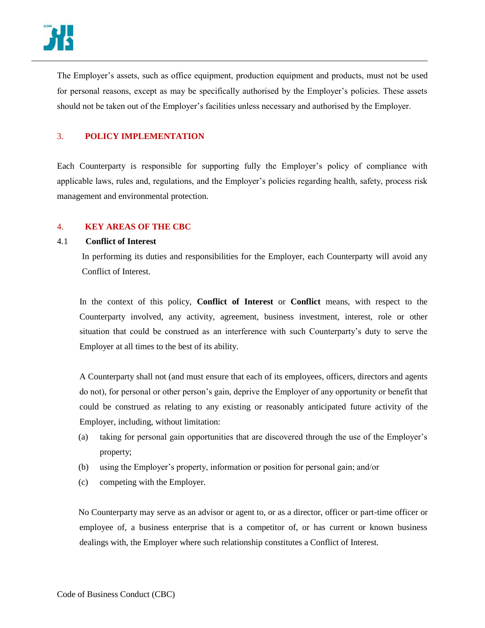

The Employer's assets, such as office equipment, production equipment and products, must not be used for personal reasons, except as may be specifically authorised by the Employer's policies. These assets should not be taken out of the Employer's facilities unless necessary and authorised by the Employer.

## 3. **POLICY IMPLEMENTATION**

Each Counterparty is responsible for supporting fully the Employer's policy of compliance with applicable laws, rules and, regulations, and the Employer's policies regarding health, safety, process risk management and environmental protection.

### 4. **KEY AREAS OF THE CBC**

#### 4.1 **Conflict of Interest**

In performing its duties and responsibilities for the Employer, each Counterparty will avoid any Conflict of Interest.

In the context of this policy, **Conflict of Interest** or **Conflict** means, with respect to the Counterparty involved, any activity, agreement, business investment, interest, role or other situation that could be construed as an interference with such Counterparty's duty to serve the Employer at all times to the best of its ability.

A Counterparty shall not (and must ensure that each of its employees, officers, directors and agents do not), for personal or other person's gain, deprive the Employer of any opportunity or benefit that could be construed as relating to any existing or reasonably anticipated future activity of the Employer, including, without limitation:

- (a) taking for personal gain opportunities that are discovered through the use of the Employer's property;
- (b) using the Employer's property, information or position for personal gain; and/or
- (c) competing with the Employer.

No Counterparty may serve as an advisor or agent to, or as a director, officer or part-time officer or employee of, a business enterprise that is a competitor of, or has current or known business dealings with, the Employer where such relationship constitutes a Conflict of Interest.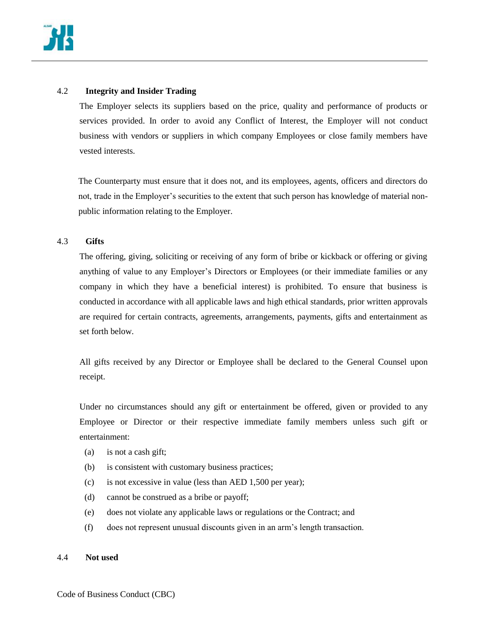

## 4.2 **Integrity and Insider Trading**

The Employer selects its suppliers based on the price, quality and performance of products or services provided. In order to avoid any Conflict of Interest, the Employer will not conduct business with vendors or suppliers in which company Employees or close family members have vested interests.

The Counterparty must ensure that it does not, and its employees, agents, officers and directors do not, trade in the Employer's securities to the extent that such person has knowledge of material nonpublic information relating to the Employer.

### 4.3 **Gifts**

The offering, giving, soliciting or receiving of any form of bribe or kickback or offering or giving anything of value to any Employer's Directors or Employees (or their immediate families or any company in which they have a beneficial interest) is prohibited. To ensure that business is conducted in accordance with all applicable laws and high ethical standards, prior written approvals are required for certain contracts, agreements, arrangements, payments, gifts and entertainment as set forth below.

All gifts received by any Director or Employee shall be declared to the General Counsel upon receipt.

Under no circumstances should any gift or entertainment be offered, given or provided to any Employee or Director or their respective immediate family members unless such gift or entertainment:

- (a) is not a cash gift;
- (b) is consistent with customary business practices;
- (c) is not excessive in value (less than AED 1,500 per year);
- (d) cannot be construed as a bribe or payoff;
- (e) does not violate any applicable laws or regulations or the Contract; and
- (f) does not represent unusual discounts given in an arm's length transaction.

#### 4.4 **Not used**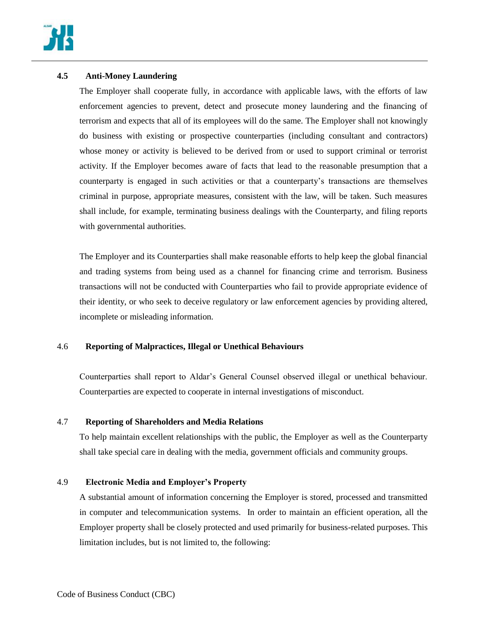

## **4.5 Anti-Money Laundering**

The Employer shall cooperate fully, in accordance with applicable laws, with the efforts of law enforcement agencies to prevent, detect and prosecute money laundering and the financing of terrorism and expects that all of its employees will do the same. The Employer shall not knowingly do business with existing or prospective counterparties (including consultant and contractors) whose money or activity is believed to be derived from or used to support criminal or terrorist activity. If the Employer becomes aware of facts that lead to the reasonable presumption that a counterparty is engaged in such activities or that a counterparty's transactions are themselves criminal in purpose, appropriate measures, consistent with the law, will be taken. Such measures shall include, for example, terminating business dealings with the Counterparty, and filing reports with governmental authorities.

The Employer and its Counterparties shall make reasonable efforts to help keep the global financial and trading systems from being used as a channel for financing crime and terrorism. Business transactions will not be conducted with Counterparties who fail to provide appropriate evidence of their identity, or who seek to deceive regulatory or law enforcement agencies by providing altered, incomplete or misleading information.

## 4.6 **Reporting of Malpractices, Illegal or Unethical Behaviours**

Counterparties shall report to Aldar's General Counsel observed illegal or unethical behaviour. Counterparties are expected to cooperate in internal investigations of misconduct.

## 4.7 **Reporting of Shareholders and Media Relations**

To help maintain excellent relationships with the public, the Employer as well as the Counterparty shall take special care in dealing with the media, government officials and community groups.

## 4.9 **Electronic Media and Employer's Property**

A substantial amount of information concerning the Employer is stored, processed and transmitted in computer and telecommunication systems. In order to maintain an efficient operation, all the Employer property shall be closely protected and used primarily for business-related purposes. This limitation includes, but is not limited to, the following: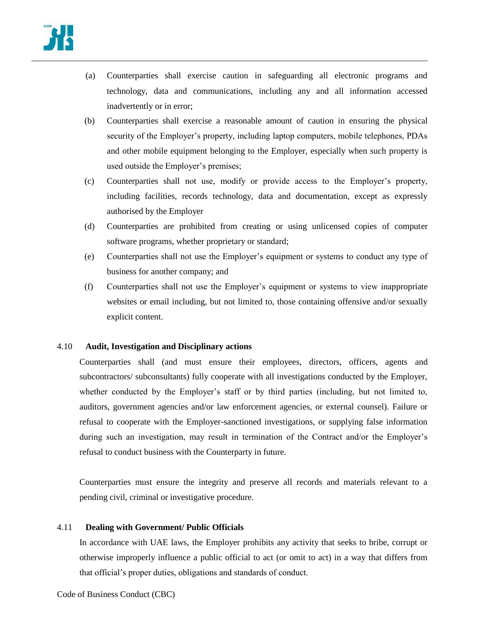

- (a) Counterparties shall exercise caution in safeguarding all electronic programs and technology, data and communications, including any and all information accessed inadvertently or in error;
- (b) Counterparties shall exercise a reasonable amount of caution in ensuring the physical security of the Employer's property, including laptop computers, mobile telephones, PDAs and other mobile equipment belonging to the Employer, especially when such property is used outside the Employer's premises;
- (c) Counterparties shall not use, modify or provide access to the Employer's property, including facilities, records technology, data and documentation, except as expressly authorised by the Employer
- (d) Counterparties are prohibited from creating or using unlicensed copies of computer software programs, whether proprietary or standard;
- (e) Counterparties shall not use the Employer's equipment or systems to conduct any type of business for another company; and
- (f) Counterparties shall not use the Employer's equipment or systems to view inappropriate websites or email including, but not limited to, those containing offensive and/or sexually explicit content.

### 4.10 **Audit, Investigation and Disciplinary actions**

Counterparties shall (and must ensure their employees, directors, officers, agents and subcontractors/ subconsultants) fully cooperate with all investigations conducted by the Employer, whether conducted by the Employer's staff or by third parties (including, but not limited to, auditors, government agencies and/or law enforcement agencies, or external counsel). Failure or refusal to cooperate with the Employer-sanctioned investigations, or supplying false information during such an investigation, may result in termination of the Contract and/or the Employer's refusal to conduct business with the Counterparty in future.

Counterparties must ensure the integrity and preserve all records and materials relevant to a pending civil, criminal or investigative procedure.

### 4.11 **Dealing with Government/ Public Officials**

In accordance with UAE laws, the Employer prohibits any activity that seeks to bribe, corrupt or otherwise improperly influence a public official to act (or omit to act) in a way that differs from that official's proper duties, obligations and standards of conduct.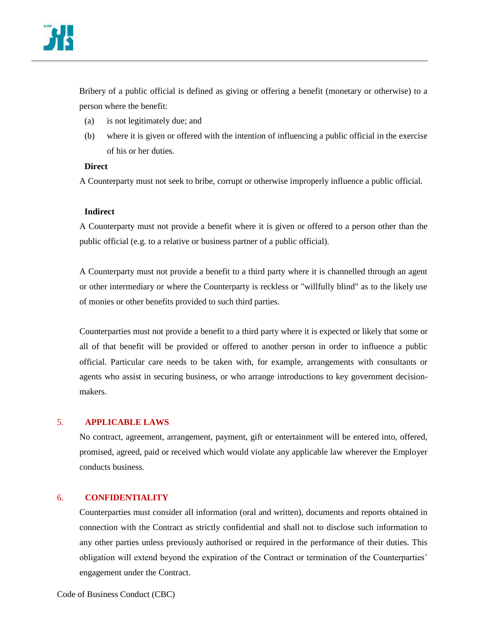

Bribery of a public official is defined as giving or offering a benefit (monetary or otherwise) to a person where the benefit:

- (a) is not legitimately due; and
- (b) where it is given or offered with the intention of influencing a public official in the exercise of his or her duties.

### **Direct**

A Counterparty must not seek to bribe, corrupt or otherwise improperly influence a public official.

### **Indirect**

A Counterparty must not provide a benefit where it is given or offered to a person other than the public official (e.g. to a relative or business partner of a public official).

A Counterparty must not provide a benefit to a third party where it is channelled through an agent or other intermediary or where the Counterparty is reckless or "willfully blind" as to the likely use of monies or other benefits provided to such third parties.

Counterparties must not provide a benefit to a third party where it is expected or likely that some or all of that benefit will be provided or offered to another person in order to influence a public official. Particular care needs to be taken with, for example, arrangements with consultants or agents who assist in securing business, or who arrange introductions to key government decisionmakers.

### 5. **APPLICABLE LAWS**

No contract, agreement, arrangement, payment, gift or entertainment will be entered into, offered, promised, agreed, paid or received which would violate any applicable law wherever the Employer conducts business.

## 6. **CONFIDENTIALITY**

Counterparties must consider all information (oral and written), documents and reports obtained in connection with the Contract as strictly confidential and shall not to disclose such information to any other parties unless previously authorised or required in the performance of their duties. This obligation will extend beyond the expiration of the Contract or termination of the Counterparties' engagement under the Contract.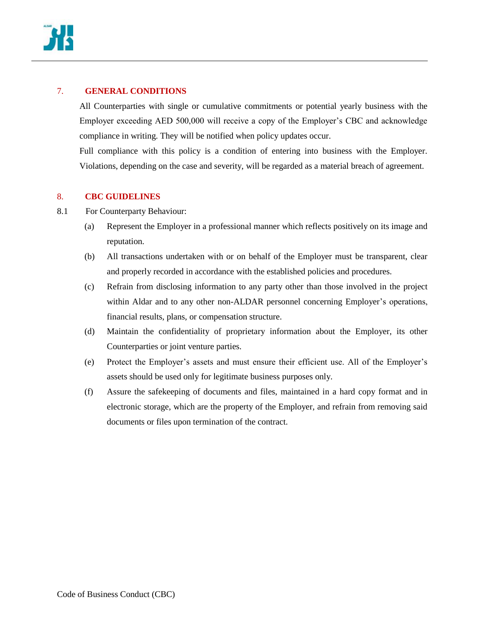

# 7. **GENERAL CONDITIONS**

All Counterparties with single or cumulative commitments or potential yearly business with the Employer exceeding AED 500,000 will receive a copy of the Employer's CBC and acknowledge compliance in writing. They will be notified when policy updates occur.

Full compliance with this policy is a condition of entering into business with the Employer. Violations, depending on the case and severity, will be regarded as a material breach of agreement.

## 8. **CBC GUIDELINES**

- 8.1 For Counterparty Behaviour:
	- (a) Represent the Employer in a professional manner which reflects positively on its image and reputation.
	- (b) All transactions undertaken with or on behalf of the Employer must be transparent, clear and properly recorded in accordance with the established policies and procedures.
	- (c) Refrain from disclosing information to any party other than those involved in the project within Aldar and to any other non-ALDAR personnel concerning Employer's operations, financial results, plans, or compensation structure.
	- (d) Maintain the confidentiality of proprietary information about the Employer, its other Counterparties or joint venture parties.
	- (e) Protect the Employer's assets and must ensure their efficient use. All of the Employer's assets should be used only for legitimate business purposes only.
	- (f) Assure the safekeeping of documents and files, maintained in a hard copy format and in electronic storage, which are the property of the Employer, and refrain from removing said documents or files upon termination of the contract.